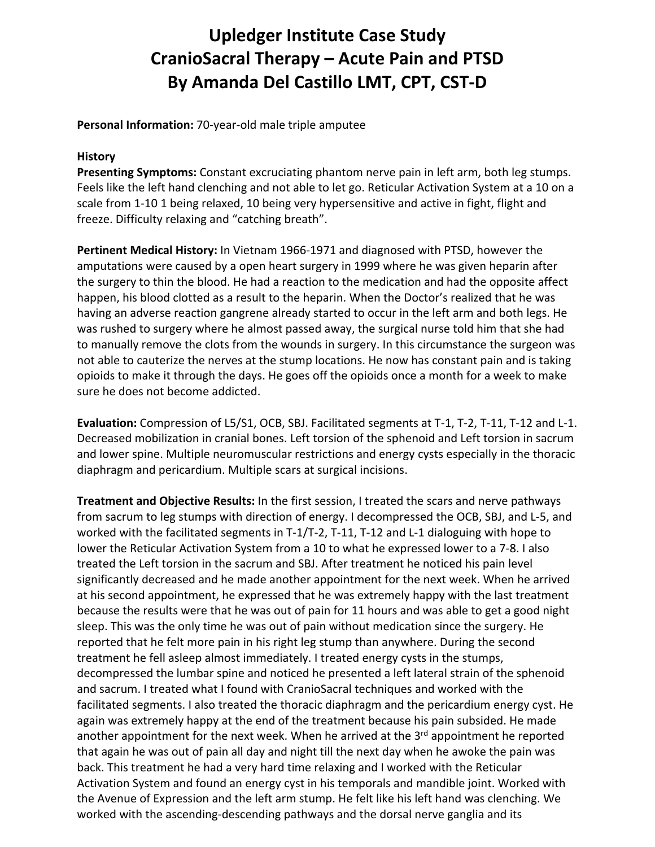## **Upledger Institute Case Study CranioSacral Therapy – Acute Pain and PTSD By Amanda Del Castillo LMT, CPT, CST‐D**

**Personal Information:** 70‐year‐old male triple amputee

## **History**

**Presenting Symptoms:** Constant excruciating phantom nerve pain in left arm, both leg stumps. Feels like the left hand clenching and not able to let go. Reticular Activation System at a 10 on a scale from 1‐10 1 being relaxed, 10 being very hypersensitive and active in fight, flight and freeze. Difficulty relaxing and "catching breath".

**Pertinent Medical History:** In Vietnam 1966‐1971 and diagnosed with PTSD, however the amputations were caused by a open heart surgery in 1999 where he was given heparin after the surgery to thin the blood. He had a reaction to the medication and had the opposite affect happen, his blood clotted as a result to the heparin. When the Doctor's realized that he was having an adverse reaction gangrene already started to occur in the left arm and both legs. He was rushed to surgery where he almost passed away, the surgical nurse told him that she had to manually remove the clots from the wounds in surgery. In this circumstance the surgeon was not able to cauterize the nerves at the stump locations. He now has constant pain and is taking opioids to make it through the days. He goes off the opioids once a month for a week to make sure he does not become addicted.

**Evaluation:** Compression of L5/S1, OCB, SBJ. Facilitated segments at T‐1, T‐2, T‐11, T‐12 and L‐1. Decreased mobilization in cranial bones. Left torsion of the sphenoid and Left torsion in sacrum and lower spine. Multiple neuromuscular restrictions and energy cysts especially in the thoracic diaphragm and pericardium. Multiple scars at surgical incisions.

**Treatment and Objective Results:** In the first session, I treated the scars and nerve pathways from sacrum to leg stumps with direction of energy. I decompressed the OCB, SBJ, and L‐5, and worked with the facilitated segments in T-1/T-2, T-11, T-12 and L-1 dialoguing with hope to lower the Reticular Activation System from a 10 to what he expressed lower to a 7‐8. I also treated the Left torsion in the sacrum and SBJ. After treatment he noticed his pain level significantly decreased and he made another appointment for the next week. When he arrived at his second appointment, he expressed that he was extremely happy with the last treatment because the results were that he was out of pain for 11 hours and was able to get a good night sleep. This was the only time he was out of pain without medication since the surgery. He reported that he felt more pain in his right leg stump than anywhere. During the second treatment he fell asleep almost immediately. I treated energy cysts in the stumps, decompressed the lumbar spine and noticed he presented a left lateral strain of the sphenoid and sacrum. I treated what I found with CranioSacral techniques and worked with the facilitated segments. I also treated the thoracic diaphragm and the pericardium energy cyst. He again was extremely happy at the end of the treatment because his pain subsided. He made another appointment for the next week. When he arrived at the  $3<sup>rd</sup>$  appointment he reported that again he was out of pain all day and night till the next day when he awoke the pain was back. This treatment he had a very hard time relaxing and I worked with the Reticular Activation System and found an energy cyst in his temporals and mandible joint. Worked with the Avenue of Expression and the left arm stump. He felt like his left hand was clenching. We worked with the ascending‐descending pathways and the dorsal nerve ganglia and its